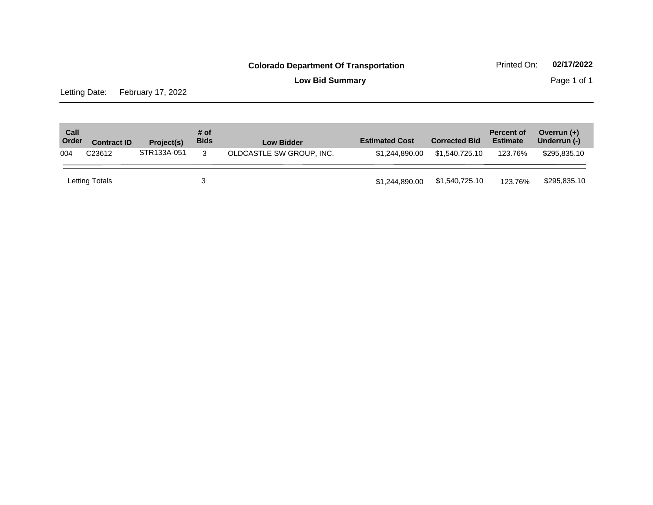**Low Bid Summary Page 1 of 1** 

Letting Date: February 17, 2022

| Call<br>Order | <b>Contract ID</b> | Project(s)  | # of<br><b>Bids</b> | <b>Low Bidder</b>        | <b>Estimated Cost</b> | <b>Corrected Bid</b> | <b>Percent of</b><br><b>Estimate</b> | Overrun $(+)$<br>Underrun (-) |
|---------------|--------------------|-------------|---------------------|--------------------------|-----------------------|----------------------|--------------------------------------|-------------------------------|
| 004           | C <sub>23612</sub> | STR133A-051 | 3                   | OLDCASTLE SW GROUP. INC. | \$1,244,890,00        | \$1,540,725,10       | 123.76%                              | \$295.835.10                  |
|               | Letting Totals     |             |                     |                          | \$1,244,890.00        | \$1,540,725.10       | 123.76%                              | \$295,835.10                  |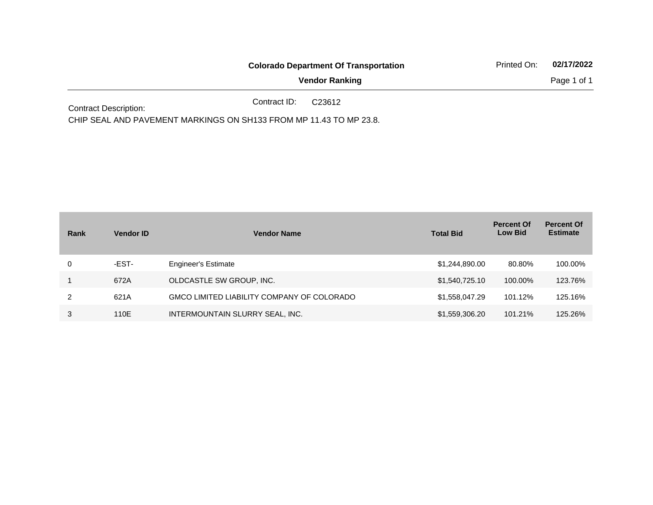|                                                                                 | <b>Colorado Department Of Transportation</b> | Printed On: | 02/17/2022  |
|---------------------------------------------------------------------------------|----------------------------------------------|-------------|-------------|
|                                                                                 | <b>Vendor Ranking</b>                        |             | Page 1 of 1 |
| the contract of the contract of the contract of the contract of the contract of | Contract ID:<br>C23612                       |             |             |

Contract Description:

CHIP SEAL AND PAVEMENT MARKINGS ON SH133 FROM MP 11.43 TO MP 23.8.

| Rank | <b>Vendor ID</b> | <b>Vendor Name</b>                         | <b>Total Bid</b> | <b>Percent Of</b><br><b>Low Bid</b> | <b>Percent Of</b><br><b>Estimate</b> |
|------|------------------|--------------------------------------------|------------------|-------------------------------------|--------------------------------------|
| 0    | -EST-            | <b>Engineer's Estimate</b>                 | \$1,244,890.00   | 80.80%                              | 100.00%                              |
|      | 672A             | OLDCASTLE SW GROUP, INC.                   | \$1,540,725.10   | 100.00%                             | 123.76%                              |
|      | 621A             | GMCO LIMITED LIABILITY COMPANY OF COLORADO | \$1,558,047.29   | 101.12%                             | 125.16%                              |
| 3    | 110E             | INTERMOUNTAIN SLURRY SEAL, INC.            | \$1,559,306.20   | 101.21%                             | 125.26%                              |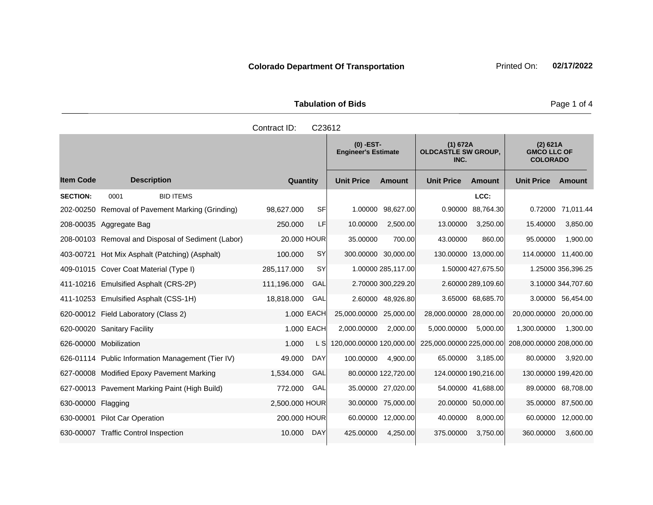|                     | <b>Tabulation of Bids</b>        |                                                |  |
|---------------------|----------------------------------|------------------------------------------------|--|
| Contract ID: C23612 |                                  |                                                |  |
|                     | (0) -EST-<br>Engineer's Estimate | (1) 672A<br><b>OLDCASTLE SW GROUP,</b><br>INC. |  |

|                    |                                           |                                                    |                |            | $(0)$ -EST-<br><b>Engineer's Estimate</b> | (1) 672A<br>$(2)$ 621A<br><b>OLDCASTLE SW GROUP,</b><br><b>GMCO LLC OF</b><br><b>COLORADO</b><br>INC. |                          |                     |                          |                    |
|--------------------|-------------------------------------------|----------------------------------------------------|----------------|------------|-------------------------------------------|-------------------------------------------------------------------------------------------------------|--------------------------|---------------------|--------------------------|--------------------|
| ltem Code          | <b>Description</b>                        |                                                    | Quantity       |            | <b>Unit Price</b>                         | <b>Amount</b>                                                                                         | <b>Unit Price</b>        | Amount              | <b>Unit Price</b>        | Amount             |
| <b>SECTION:</b>    | 0001                                      | <b>BID ITEMS</b>                                   |                |            |                                           |                                                                                                       |                          | LCC:                |                          |                    |
|                    |                                           | 202-00250 Removal of Pavement Marking (Grinding)   | 98.627.000     | SF         | 1.00000                                   | 98,627.00                                                                                             | 0.90000                  | 88,764.30           | 0.72000                  | 71,011.44          |
|                    | 208-00035 Aggregate Bag                   |                                                    | 250.000        | LF         | 10.00000                                  | 2,500.00                                                                                              | 13.00000                 | 3,250.00            | 15.40000                 | 3,850.00           |
|                    |                                           | 208-00103 Removal and Disposal of Sediment (Labor) | 20,000 HOUR    |            | 35.00000                                  | 700.00                                                                                                | 43.00000                 | 860.00              | 95.00000                 | 1,900.00           |
|                    |                                           | 403-00721 Hot Mix Asphalt (Patching) (Asphalt)     | 100.000        | <b>SY</b>  | 300.00000 30,000.00                       |                                                                                                       |                          | 130.00000 13,000.00 | 114.00000 11,400.00      |                    |
|                    | 409-01015 Cover Coat Material (Type I)    |                                                    | 285,117.000    | <b>SY</b>  |                                           | 1.00000 285,117.00                                                                                    |                          | 1.50000 427,675.50  |                          | 1.25000 356,396.25 |
|                    | 411-10216 Emulsified Asphalt (CRS-2P)     |                                                    | 111,196.000    | GAL        |                                           | 2.70000 300,229.20                                                                                    |                          | 2.60000 289,109.60  |                          | 3.10000 344,707.60 |
|                    | 411-10253 Emulsified Asphalt (CSS-1H)     |                                                    | 18,818.000     | GAL        |                                           | 2.60000 48,926.80                                                                                     |                          | 3.65000 68,685.70   |                          | 3.00000 56,454.00  |
|                    | 620-00012 Field Laboratory (Class 2)      |                                                    |                | 1.000 EACH | 25,000.00000 25,000.00                    |                                                                                                       | 28,000.00000 28,000.00   |                     | 20,000.00000 20,000.00   |                    |
|                    | 620-00020 Sanitary Facility               |                                                    |                | 1.000 EACH | 2,000.00000                               | 2,000.00                                                                                              | 5,000.00000              | 5,000.00            | 1,300.00000              | 1,300.00           |
|                    | 626-00000 Mobilization                    |                                                    | 1.000          | L SI       | 120,000.00000 120,000.00                  |                                                                                                       | 225,000.00000 225,000.00 |                     | 208,000.00000 208,000.00 |                    |
|                    |                                           | 626-01114 Public Information Management (Tier IV)  | 49.000         | DAY        | 100.00000                                 | 4,900.00                                                                                              | 65.00000                 | 3,185.00            | 80.00000                 | 3,920.00           |
|                    | 627-00008 Modified Epoxy Pavement Marking |                                                    | 1,534.000      | GAL        |                                           | 80.00000 122,720.00                                                                                   | 124.00000 190,216.00     |                     | 130.00000 199,420.00     |                    |
|                    |                                           | 627-00013 Pavement Marking Paint (High Build)      | 772.000        | GAL        |                                           | 35.00000 27,020.00                                                                                    |                          | 54.00000 41,688.00  |                          | 89.00000 68,708.00 |
| 630-00000 Flagging |                                           |                                                    | 2,500.000 HOUR |            |                                           | 30.00000 75,000.00                                                                                    |                          | 20.00000 50,000.00  |                          | 35.00000 87,500.00 |
|                    | 630-00001 Pilot Car Operation             |                                                    | 200,000 HOUR   |            |                                           | 60.00000 12,000.00                                                                                    | 40.00000                 | 8.000.00            |                          | 60.00000 12,000.00 |

630-00007 Traffic Control Inspection 10.000 DAY 425.00000 4,250.00 375.00000 3,750.00 360.0000 3,600.00

#### Page 1 of 4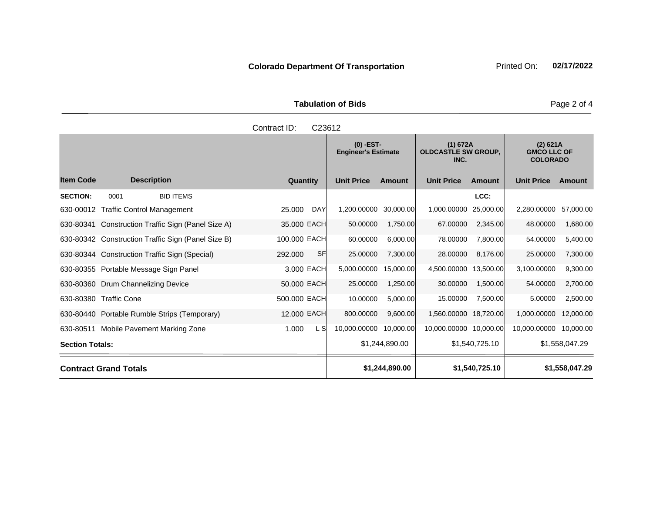Tabulation of Bids **Page 2 of 4** 

and the state of the state of the state

|                    | Contract ID: | C <sub>23612</sub>                        |        |                                                |               |                                  |  |  |  |
|--------------------|--------------|-------------------------------------------|--------|------------------------------------------------|---------------|----------------------------------|--|--|--|
|                    |              | $(0)$ -EST-<br><b>Engineer's Estimate</b> |        | (1) 672A<br><b>OLDCASTLE SW GROUP,</b><br>INC. |               | (2)<br><b>GMCC</b><br><b>COL</b> |  |  |  |
| <b>Description</b> | Quantity     | <b>Unit Price</b>                         | Amount | <b>Unit Price</b>                              | <b>Amount</b> | <b>Unit Pric</b>                 |  |  |  |
|                    |              |                                           |        |                                                |               |                                  |  |  |  |

|                        |                                                    |                      | $(0)$ -EST-<br><b>Engineer's Estimate</b> |                | (1) 672A<br><b>OLDCASTLE SW GROUP,</b><br>INC. |                | (2) 621A<br><b>GMCO LLC OF</b><br><b>COLORADO</b> |               |
|------------------------|----------------------------------------------------|----------------------|-------------------------------------------|----------------|------------------------------------------------|----------------|---------------------------------------------------|---------------|
| <b>Item Code</b>       | <b>Description</b>                                 | Quantity             | <b>Unit Price</b>                         | <b>Amount</b>  | <b>Unit Price</b>                              | Amount         | <b>Unit Price</b>                                 | <b>Amount</b> |
| <b>SECTION:</b>        | <b>BID ITEMS</b><br>0001                           |                      |                                           |                |                                                | LCC:           |                                                   |               |
|                        | 630-00012 Traffic Control Management               | 25.000<br><b>DAY</b> | 1,200.00000                               | 30,000.00      | 1,000.00000                                    | 25,000.00      | 2,280.00000                                       | 57,000.00     |
| 630-80341              | Construction Traffic Sign (Panel Size A)           | 35.000 EACH          | 50.00000                                  | 1,750.00       | 67.00000                                       | 2,345.00       | 48.00000                                          | 1,680.00      |
|                        | 630-80342 Construction Traffic Sign (Panel Size B) | 100.000 EACH         | 60.00000                                  | 6,000.00       | 78.00000                                       | 7,800.00       | 54.00000                                          | 5,400.00      |
|                        | 630-80344 Construction Traffic Sign (Special)      | SF<br>292.000        | 25.00000                                  | 7,300.00       | 28.00000                                       | 8,176.00       | 25.00000                                          | 7,300.00      |
|                        | 630-80355 Portable Message Sign Panel              | 3.000 EACH           | 5,000.00000                               | 15,000.00      | 4,500.00000 13,500.00                          |                | 3,100.00000                                       | 9,300.00      |
|                        | 630-80360 Drum Channelizing Device                 | 50.000 EACH          | 25.00000                                  | 1,250.00       | 30.00000                                       | 1,500.00       | 54.00000                                          | 2,700.00      |
|                        | 630-80380 Traffic Cone                             | 500.000 EACH         | 10.00000                                  | 5,000.00       | 15.00000                                       | 7,500.00       | 5.00000                                           | 2,500.00      |
|                        | 630-80440 Portable Rumble Strips (Temporary)       | 12.000 EACH          | 800.00000                                 | 9,600.00       | 1,560.00000 18,720.00                          |                | 1,000.00000                                       | 12,000.00     |
| 630-80511              | Mobile Pavement Marking Zone                       | L SI<br>1.000        | 10,000.00000                              | 10,000.00      | 10,000.00000 10,000.00                         |                | 10,000.00000                                      | 10,000.00     |
| <b>Section Totals:</b> |                                                    |                      | \$1,244,890.00                            |                | \$1,540,725.10                                 |                | \$1,558,047.29                                    |               |
|                        | <b>Contract Grand Totals</b>                       | \$1,244,890.00       |                                           | \$1,540,725.10 |                                                | \$1,558,047.29 |                                                   |               |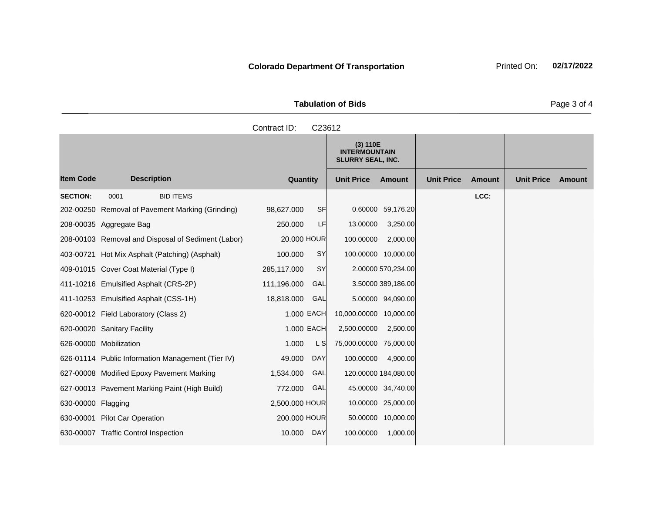**Tabulation of Bids** Page 3 of 4

|                    |                                                    | Contract ID:   | C23612    |                                                              |                    |                   |        |                   |        |
|--------------------|----------------------------------------------------|----------------|-----------|--------------------------------------------------------------|--------------------|-------------------|--------|-------------------|--------|
|                    |                                                    |                |           | (3) 110E<br><b>INTERMOUNTAIN</b><br><b>SLURRY SEAL, INC.</b> |                    |                   |        |                   |        |
| <b>Item Code</b>   | <b>Description</b>                                 | Quantity       |           | <b>Unit Price</b>                                            | <b>Amount</b>      | <b>Unit Price</b> | Amount | <b>Unit Price</b> | Amount |
| <b>SECTION:</b>    | <b>BID ITEMS</b><br>0001                           |                |           |                                                              |                    |                   | LCC:   |                   |        |
|                    | 202-00250 Removal of Pavement Marking (Grinding)   | 98,627.000     | <b>SF</b> |                                                              | 0.60000 59,176.20  |                   |        |                   |        |
|                    | 208-00035 Aggregate Bag                            | 250.000        | LF        | 13.00000                                                     | 3,250.00           |                   |        |                   |        |
|                    | 208-00103 Removal and Disposal of Sediment (Labor) | 20.000 HOUR    |           | 100.00000                                                    | 2,000.00           |                   |        |                   |        |
|                    | 403-00721 Hot Mix Asphalt (Patching) (Asphalt)     | 100.000        | SY        | 100.00000 10,000.00                                          |                    |                   |        |                   |        |
|                    | 409-01015 Cover Coat Material (Type I)             | 285,117.000    | <b>SY</b> |                                                              | 2.00000 570,234.00 |                   |        |                   |        |
|                    | 411-10216 Emulsified Asphalt (CRS-2P)              | 111,196.000    | GAL       |                                                              | 3.50000 389,186.00 |                   |        |                   |        |
|                    | 411-10253 Emulsified Asphalt (CSS-1H)              | 18,818.000     | GAL       |                                                              | 5.00000 94,090.00  |                   |        |                   |        |
|                    | 620-00012 Field Laboratory (Class 2)               | 1.000 EACH     |           | 10,000.00000 10,000.00                                       |                    |                   |        |                   |        |
|                    | 620-00020 Sanitary Facility                        | 1.000 EACH     |           | 2,500.00000                                                  | 2,500.00           |                   |        |                   |        |
|                    | 626-00000 Mobilization                             | 1.000          | L S       | 75,000.00000 75,000.00                                       |                    |                   |        |                   |        |
|                    | 626-01114 Public Information Management (Tier IV)  | 49.000         | DAY       | 100.00000                                                    | 4,900.00           |                   |        |                   |        |
|                    | 627-00008 Modified Epoxy Pavement Marking          | 1,534.000      | GAL       | 120.00000 184,080.00                                         |                    |                   |        |                   |        |
|                    | 627-00013 Pavement Marking Paint (High Build)      | 772.000        | GAL       |                                                              | 45.00000 34,740.00 |                   |        |                   |        |
| 630-00000 Flagging |                                                    | 2,500.000 HOUR |           |                                                              | 10.00000 25,000.00 |                   |        |                   |        |
|                    | 630-00001 Pilot Car Operation                      | 200.000 HOUR   |           |                                                              | 50.00000 10,000.00 |                   |        |                   |        |
|                    | 630-00007 Traffic Control Inspection               | 10.000         | DAY       | 100.00000                                                    | 1,000.00           |                   |        |                   |        |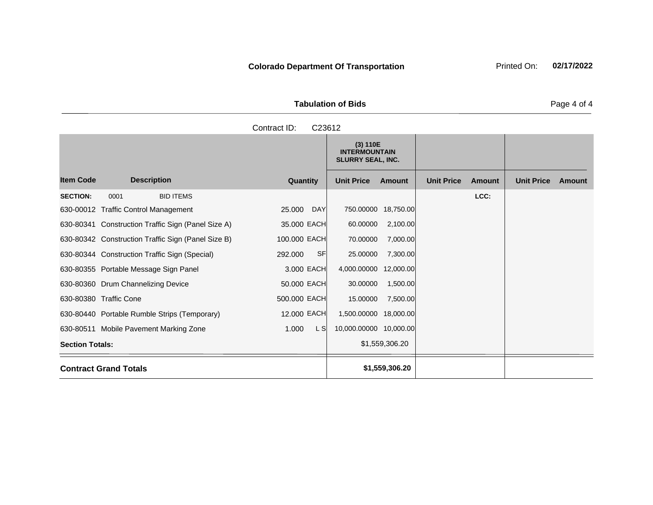**Tabulation of Bids** Page 4 of 4

|           | Contract ID: | C23612                                                       |        |                   |        |        |
|-----------|--------------|--------------------------------------------------------------|--------|-------------------|--------|--------|
|           |              | (3) 110E<br><b>INTERMOUNTAIN</b><br><b>SLURRY SEAL, INC.</b> |        |                   |        |        |
| scription | Quantity     | <b>Unit Price</b>                                            | Amount | <b>Unit Price</b> | Amount | Unit I |
|           |              |                                                              |        |                   |        |        |

|                        |                                                    |               | (3) 110E<br><b>INTERMOUNTAIN</b><br><b>SLURRY SEAL, INC.</b> |                |                   |        |                   |        |
|------------------------|----------------------------------------------------|---------------|--------------------------------------------------------------|----------------|-------------------|--------|-------------------|--------|
| <b>Item Code</b>       | <b>Description</b>                                 | Quantity      | <b>Unit Price</b>                                            | <b>Amount</b>  | <b>Unit Price</b> | Amount | <b>Unit Price</b> | Amount |
| <b>SECTION:</b>        | <b>BID ITEMS</b><br>0001                           |               |                                                              |                |                   | LCC:   |                   |        |
|                        | 630-00012 Traffic Control Management               | 25.000<br>DAY | 750.00000 18,750.00                                          |                |                   |        |                   |        |
|                        | 630-80341 Construction Traffic Sign (Panel Size A) | 35.000 EACH   | 60.00000                                                     | 2,100.00       |                   |        |                   |        |
|                        | 630-80342 Construction Traffic Sign (Panel Size B) | 100.000 EACH  | 70.00000                                                     | 7,000.00       |                   |        |                   |        |
|                        | 630-80344 Construction Traffic Sign (Special)      | SF<br>292.000 | 25.00000                                                     | 7,300.00       |                   |        |                   |        |
|                        | 630-80355 Portable Message Sign Panel              | 3.000 EACH    | 4,000.00000 12,000.00                                        |                |                   |        |                   |        |
|                        | 630-80360 Drum Channelizing Device                 | 50.000 EACH   | 30.00000                                                     | 1,500.00       |                   |        |                   |        |
|                        | 630-80380 Traffic Cone                             | 500.000 EACH  | 15.00000                                                     | 7,500.00       |                   |        |                   |        |
|                        | 630-80440 Portable Rumble Strips (Temporary)       | 12.000 EACH   | 1,500.00000 18,000.00                                        |                |                   |        |                   |        |
|                        | 630-80511 Mobile Pavement Marking Zone             | L S<br>1.000  | 10,000.00000 10,000.00                                       |                |                   |        |                   |        |
| <b>Section Totals:</b> |                                                    |               |                                                              | \$1,559,306.20 |                   |        |                   |        |
|                        | <b>Contract Grand Totals</b>                       |               |                                                              | \$1,559,306.20 |                   |        |                   |        |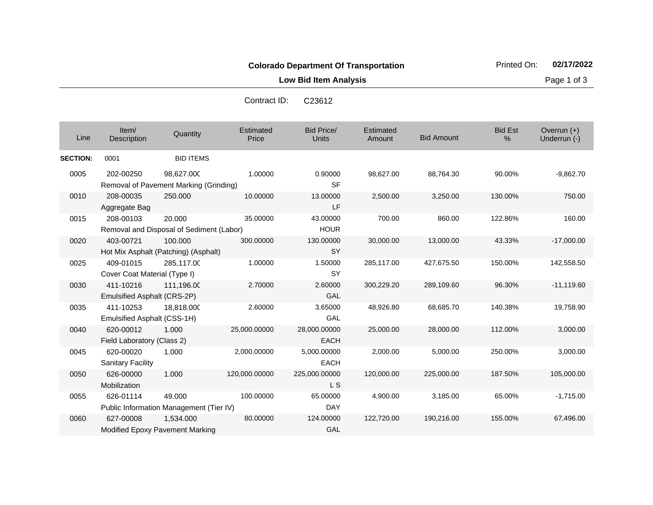**Low Bid Item Analysis Page 1 of 3** 

Contract ID: C23612

| Line            | Item/<br>Description         | Quantity                                 | <b>Estimated</b><br>Price | <b>Bid Price/</b><br><b>Units</b> | Estimated<br>Amount | <b>Bid Amount</b> | <b>Bid Est</b><br>% | Overrun (+)<br>Underrun (-) |
|-----------------|------------------------------|------------------------------------------|---------------------------|-----------------------------------|---------------------|-------------------|---------------------|-----------------------------|
| <b>SECTION:</b> | 0001                         | <b>BID ITEMS</b>                         |                           |                                   |                     |                   |                     |                             |
| 0005            | 202-00250                    | 98,627.000                               | 1.00000                   | 0.90000                           | 98,627.00           | 88,764.30         | 90.00%              | $-9,862.70$                 |
|                 |                              | Removal of Pavement Marking (Grinding)   |                           | <b>SF</b>                         |                     |                   |                     |                             |
| 0010            | 208-00035                    | 250.000                                  | 10.00000                  | 13.00000                          | 2,500.00            | 3,250.00          | 130.00%             | 750.00                      |
|                 | Aggregate Bag                |                                          |                           | LF                                |                     |                   |                     |                             |
| 0015            | 208-00103                    | 20.000                                   | 35,00000                  | 43.00000                          | 700.00              | 860.00            | 122.86%             | 160.00                      |
|                 |                              | Removal and Disposal of Sediment (Labor) |                           | <b>HOUR</b>                       |                     |                   |                     |                             |
| 0020            | 403-00721                    | 100.000                                  | 300.00000                 | 130.00000                         | 30,000.00           | 13,000.00         | 43.33%              | $-17,000.00$                |
|                 |                              | Hot Mix Asphalt (Patching) (Asphalt)     |                           | SY                                |                     |                   |                     |                             |
| 0025            | 409-01015                    | 285,117.00                               | 1.00000                   | 1.50000                           | 285,117.00          | 427,675.50        | 150.00%             | 142,558.50                  |
|                 | Cover Coat Material (Type I) |                                          |                           | SY                                |                     |                   |                     |                             |
| 0030            | 411-10216                    | 111,196.00                               | 2.70000                   | 2.60000                           | 300,229.20          | 289,109.60        | 96.30%              | $-11,119.60$                |
|                 | Emulsified Asphalt (CRS-2P)  |                                          |                           | GAL                               |                     |                   |                     |                             |
| 0035            | 411-10253                    | 18,818.000                               | 2.60000                   | 3.65000                           | 48,926.80           | 68,685.70         | 140.38%             | 19,758.90                   |
|                 | Emulsified Asphalt (CSS-1H)  |                                          |                           | GAL                               |                     |                   |                     |                             |
| 0040            | 620-00012                    | 1.000                                    | 25,000.00000              | 28,000.00000                      | 25,000.00           | 28,000.00         | 112.00%             | 3,000.00                    |
|                 | Field Laboratory (Class 2)   |                                          |                           | <b>EACH</b>                       |                     |                   |                     |                             |
| 0045            | 620-00020                    | 1.000                                    | 2,000.00000               | 5,000.00000                       | 2,000.00            | 5,000.00          | 250.00%             | 3,000.00                    |
|                 | <b>Sanitary Facility</b>     |                                          |                           | <b>EACH</b>                       |                     |                   |                     |                             |
| 0050            | 626-00000                    | 1.000                                    | 120,000.00000             | 225,000.00000                     | 120,000.00          | 225,000.00        | 187.50%             | 105,000.00                  |
|                 | Mobilization                 |                                          |                           | L S                               |                     |                   |                     |                             |
| 0055            | 626-01114                    | 49.000                                   | 100.00000                 | 65.00000                          | 4,900.00            | 3,185.00          | 65.00%              | $-1,715.00$                 |
|                 |                              | Public Information Management (Tier IV)  |                           | <b>DAY</b>                        |                     |                   |                     |                             |
| 0060            | 627-00008                    | 1,534.000                                | 80.00000                  | 124.00000                         | 122.720.00          | 190,216.00        | 155.00%             | 67,496.00                   |

GAL

Modified Epoxy Pavement Marking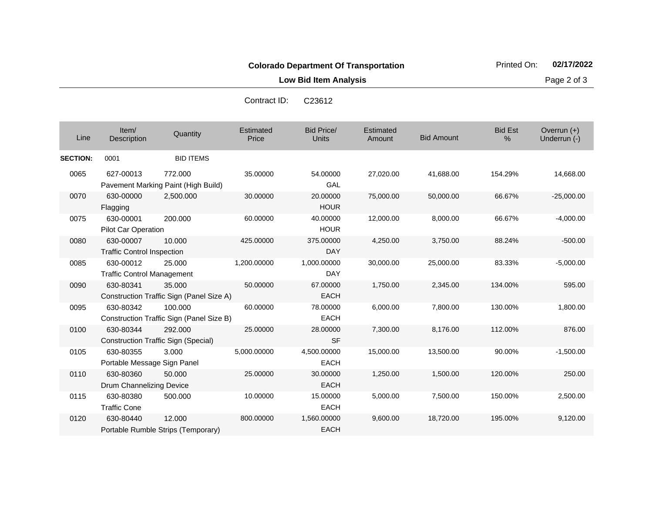**Low Bid Item Analysis Page 2 of 3** 

14,668.00

 $-25,000.00$ 

 $-4,000.00$ 

 $-500.00$ 

 $-5,000.00$ 

595.00

1,800.00

876.00

 $-1,500.00$ 

1,250.00 1,500.00 120.00% 250.00

5,000.00 7,500.00 150.00% 2,500.00

9,600.00 18,720.00 195.00% 9,120.00

|                 |                                                |                                                       | Contract ID:       | C23612                    |                     |                   |                        |                               |
|-----------------|------------------------------------------------|-------------------------------------------------------|--------------------|---------------------------|---------------------|-------------------|------------------------|-------------------------------|
| Line            | Item/<br><b>Description</b>                    | Quantity                                              | Estimated<br>Price | Bid Price/<br>Units       | Estimated<br>Amount | <b>Bid Amount</b> | <b>Bid Est</b><br>$\%$ | Overrun $(+)$<br>Underrun (-) |
| <b>SECTION:</b> | 0001                                           | <b>BID ITEMS</b>                                      |                    |                           |                     |                   |                        |                               |
| 0065            | 627-00013                                      | 772,000<br>Pavement Marking Paint (High Build)        | 35.00000           | 54.00000<br>GAL           | 27,020.00           | 41,688.00         | 154.29%                | 14,668.0                      |
| 0070            | 630-00000<br>Flagging                          | 2,500.000                                             | 30.00000           | 20.00000<br><b>HOUR</b>   | 75,000.00           | 50,000.00         | 66.67%                 | $-25,000.0$                   |
| 0075            | 630-00001<br>Pilot Car Operation               | 200.000                                               | 60.00000           | 40.00000<br><b>HOUR</b>   | 12,000.00           | 8,000.00          | 66.67%                 | $-4,000.0$                    |
| 0080            | 630-00007<br><b>Traffic Control Inspection</b> | 10.000                                                | 425.00000          | 375.00000<br><b>DAY</b>   | 4,250.00            | 3,750.00          | 88.24%                 | $-500.0$                      |
| 0085            | 630-00012<br><b>Traffic Control Management</b> | 25,000                                                | 1,200.00000        | 1,000.00000<br><b>DAY</b> | 30,000.00           | 25,000.00         | 83.33%                 | $-5,000.0$                    |
| 0090            | 630-80341                                      | 35,000<br>Construction Traffic Sign (Panel Size A)    | 50.00000           | 67.00000<br><b>EACH</b>   | 1,750.00            | 2,345.00          | 134.00%                | 595.0                         |
| 0095            | 630-80342                                      | 100.000<br>Construction Traffic Sign (Panel Size B)   | 60.00000           | 78.00000<br><b>EACH</b>   | 6,000.00            | 7,800.00          | 130.00%                | 1,800.0                       |
| 0100            | 630-80344                                      | 292.000<br><b>Construction Traffic Sign (Special)</b> | 25.00000           | 28.00000<br><b>SF</b>     | 7,300.00            | 8,176.00          | 112.00%                | 876.0                         |
| 0105            | 630-80355                                      | 3.000                                                 | 5.000.00000        | 4.500.00000               | 15.000.00           | 13,500.00         | 90.00%                 | $-1,500.0$                    |

EACH

EACH

EACH

EACH

50.000 25.00000 30.00000

500.000 10.00000 15.00000

12.000 800.00000 1,560.00000

Portable Message Sign Panel

Portable Rumble Strips (Temporary)

Drum Channelizing Device

0110 630-80360

0115 630-80380

0120 630-80440

Traffic Cone